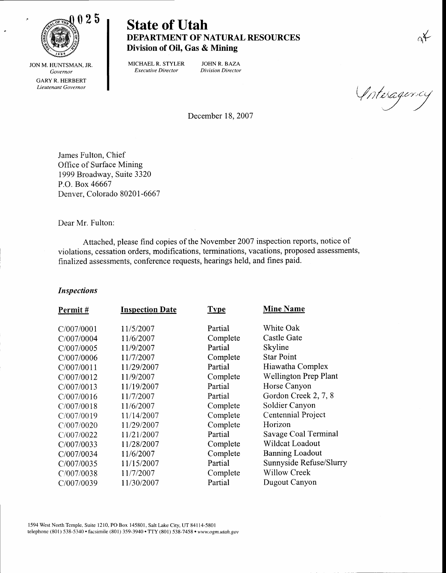

State of Utah DEPARTMENT OF NATURAL RESOURCES Division of Oil, Gas & Mining

JON M. HUNTSMAN, JR. Governor GARY R. HERBERT Lieutenant Governor

MICHAELR. STYLER JOHN R. BAZA Executive Director Division Director

(Interagema

December 18, 2007

James Fulton, Chief Office of Surface Mining 1999 Broadway, Suite 3320 P.O. Box 46667 Denver, Colorado 8020l-6667

Dear Mr. Fulton:

Attached, please find copies of the November 2007 inspection reports, notice of violations, cessation orders, modifications, terminations, vacations, proposed assessments, finalized assessments, conference requests, hearings held, and fines paid.

## Inspections

| Permit#    | <b>Inspection Date</b> | <b>Type</b> | <b>Mine Name</b>             |
|------------|------------------------|-------------|------------------------------|
| C/007/0001 | 11/5/2007              | Partial     | White Oak                    |
| C/007/0004 | 11/6/2007              | Complete    | Castle Gate                  |
| C/007/0005 | 11/9/2007              | Partial     | Skyline                      |
| C/007/0006 | 11/7/2007              | Complete    | <b>Star Point</b>            |
| C/007/0011 | 11/29/2007             | Partial     | Hiawatha Complex             |
| C/007/0012 | 11/9/2007              | Complete    | <b>Wellington Prep Plant</b> |
| C/007/0013 | 11/19/2007             | Partial     | Horse Canyon                 |
| C/007/0016 | 11/7/2007              | Partial     | Gordon Creek 2, 7, 8         |
| C/007/0018 | 11/6/2007              | Complete    | Soldier Canyon               |
| C/007/0019 | 11/14/2007             | Complete    | Centennial Project           |
| C/007/0020 | 11/29/2007             | Complete    | Horizon                      |
| C/007/0022 | 11/21/2007             | Partial     | Savage Coal Terminal         |
| C/007/0033 | 11/28/2007             | Complete    | Wildcat Loadout              |
| C/007/0034 | 11/6/2007              | Complete    | <b>Banning Loadout</b>       |
| C/007/0035 | 11/15/2007             | Partial     | Sunnyside Refuse/Slurry      |
| C/007/0038 | 11/7/2007              | Complete    | <b>Willow Creek</b>          |
| C/007/0039 | 11/30/2007             | Partial     | Dugout Canyon                |

1594 West North Temple, Suite 1210, PO Box 145801, Salt Lake City, UT 84114-5801 telephone (801) 538-5340 · facsimile (801) 359-3940 · TTY (801) 538-7458 · www.ogm.utah.gov